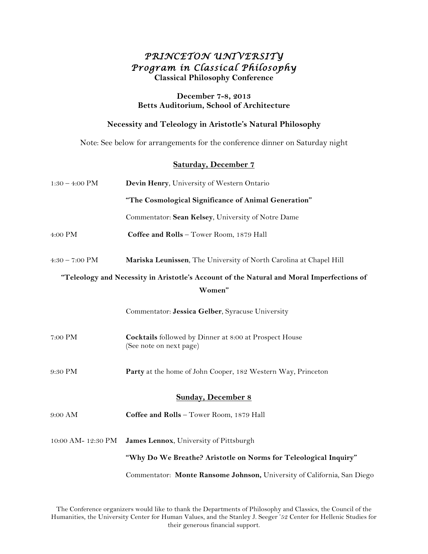# *PRINCETON UNIVERSITY Program in Classical Philosophy*  **Classical Philosophy Conference**

#### **December 7-8, 2013 Betts Auditorium, School of Architecture**

## **Necessity and Teleology in Aristotle's Natural Philosophy**

Note: See below for arrangements for the conference dinner on Saturday night

## **Saturday, December 7**

| $1:30 - 4:00$ PM                                                                          | Devin Henry, University of Western Ontario                                               |  |
|-------------------------------------------------------------------------------------------|------------------------------------------------------------------------------------------|--|
|                                                                                           | "The Cosmological Significance of Animal Generation"                                     |  |
|                                                                                           | Commentator: Sean Kelsey, University of Notre Dame                                       |  |
| 4:00 PM                                                                                   | Coffee and Rolls - Tower Room, 1879 Hall                                                 |  |
| $4:30 - 7:00$ PM                                                                          | Mariska Leunissen, The University of North Carolina at Chapel Hill                       |  |
| "Teleology and Necessity in Aristotle's Account of the Natural and Moral Imperfections of |                                                                                          |  |
| Women"                                                                                    |                                                                                          |  |
|                                                                                           | Commentator: Jessica Gelber, Syracuse University                                         |  |
| 7:00 PM                                                                                   | <b>Cocktails</b> followed by Dinner at 8:00 at Prospect House<br>(See note on next page) |  |
| 9:30 PM                                                                                   | Party at the home of John Cooper, 182 Western Way, Princeton                             |  |
| <b>Sunday, December 8</b>                                                                 |                                                                                          |  |
| 9:00 AM                                                                                   | Coffee and Rolls - Tower Room, 1879 Hall                                                 |  |
| 10:00 AM- 12:30 PM                                                                        | James Lennox, University of Pittsburgh                                                   |  |
|                                                                                           | "Why Do We Breathe? Aristotle on Norms for Teleological Inquiry"                         |  |
|                                                                                           | Commentator: Monte Ransome Johnson, University of California, San Diego                  |  |

The Conference organizers would like to thank the Departments of Philosophy and Classics, the Council of the Humanities, the University Center for Human Values, and the Stanley J. Seeger '52 Center for Hellenic Studies for their generous financial support.